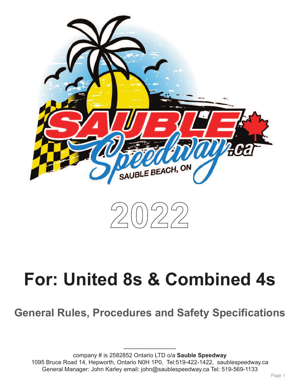



# **For: United 8s & Combined 4s**

**General Rules, Procedures and Safety Specifications**

company # is 2582852 Ontario LTD o/a **Sauble Speedway** 1095 Bruce Road 14, Hepworth, Ontario N0H 1P0, Tel:519-422-1422, saublespeedway.ca General Manager: John Karley email: john@saublespeedway.ca Tel: 519-569-1133

---------------------------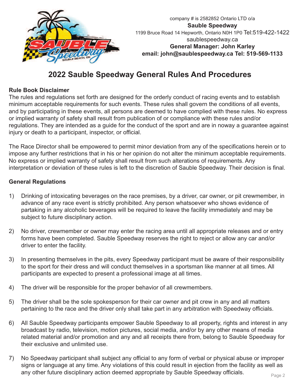

## **2022 Sauble Speedway General Rules And Procedures**

#### **Rule Book Disclaimer**

The rules and regulations set forth are designed for the orderly conduct of racing events and to establish minimum acceptable requirements for such events. These rules shall govern the conditions of all events, and by participating in these events, all persons are deemed to have complied with these rules. No express or implied warranty of safety shall result from publication of or compliance with these rules and/or regulations. They are intended as a guide for the conduct of the sport and are in noway a guarantee against injury or death to a participant, inspector, or official.

The Race Director shall be empowered to permit minor deviation from any of the specifications herein or to impose any further restrictions that in his or her opinion do not alter the minimum acceptable requirements. No express or implied warranty of safety shall result from such alterations of requirements. Any interpretation or deviation of these rules is left to the discretion of Sauble Speedway. Their decision is final.

#### **General Regulations**

- 1) Drinking of intoxicating beverages on the race premises, by a driver, car owner, or pit crewmember, in advance of any race event is strictly prohibited. Any person whatsoever who shows evidence of partaking in any alcoholic beverages will be required to leave the facility immediately and may be subject to future disciplinary action.
- 2) No driver, crewmember or owner may enter the racing area until all appropriate releases and or entry forms have been completed. Sauble Speedway reserves the right to reject or allow any car and/or driver to enter the facility.
- 3) In presenting themselves in the pits, every Speedway participant must be aware of their responsibility to the sport for their dress and will conduct themselves in a sportsman like manner at all times. All participants are expected to present a professional image at all times.
- 4) The driver will be responsible for the proper behavior of all crewmembers.
- 5) The driver shall be the sole spokesperson for their car owner and pit crew in any and all matters pertaining to the race and the driver only shall take part in any arbitration with Speedway officials.
- 6) All Sauble Speedway participants empower Sauble Speedway to all property, rights and interest in any broadcast by radio, television, motion pictures, social media, and/or by any other means of media related material and/or promotion and any and all receipts there from, belong to Sauble Speedway for their exclusive and unlimited use.
- 7) No Speedway participant shall subject any official to any form of verbal or physical abuse or improper signs or language at any time. Any violations of this could result in ejection from the facility as well as any other future disciplinary action deemed appropriate by Sauble Speedway officials.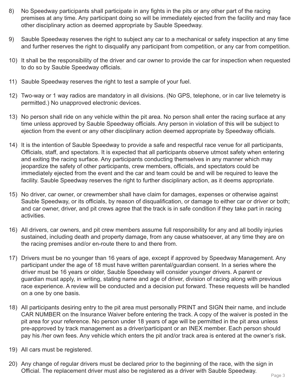- 8) No Speedway participants shall participate in any fights in the pits or any other part of the racing premises at any time. Any participant doing so will be immediately ejected from the facility and may face other disciplinary action as deemed appropriate by Sauble Speedway.
- 9) Sauble Speedway reserves the right to subject any car to a mechanical or safety inspection at any time and further reserves the right to disqualify any participant from competition, or any car from competition.
- 10) It shall be the responsibility of the driver and car owner to provide the car for inspection when requested to do so by Sauble Speedway officials.
- 11) Sauble Speedway reserves the right to test a sample of your fuel.
- 12) Two-way or 1 way radios are mandatory in all divisions. (No GPS, telephone, or in car live telemetry is permitted.) No unapproved electronic devices.
- 13) No person shall ride on any vehicle within the pit area. No person shall enter the racing surface at any time unless approved by Sauble Speedway officials. Any person in violation of this will be subject to ejection from the event or any other disciplinary action deemed appropriate by Speedway officials.
- 14) It is the intention of Sauble Speedway to provide a safe and respectful race venue for all participants, Officials, staff, and spectators. It is expected that all participants observe utmost safety when entering and exiting the racing surface. Any participants conducting themselves in any manner which may jeopardize the safety of other participants, crew members, officials, and spectators could be immediately ejected from the event and the car and team could be and will be required to leave the facility. Sauble Speedway reserves the right to further disciplinary action, as it deems appropriate.
- 15) No driver, car owner, or crewmember shall have claim for damages, expenses or otherwise against Sauble Speedway, or its officials, by reason of disqualification, or damage to either car or driver or both; and car owner, driver, and pit crews agree that the track is in safe condition if they take part in racing activities.
- 16) All drivers, car owners, and pit crew members assume full responsibility for any and all bodily injuries sustained, including death and property damage, from any cause whatsoever, at any time they are on the racing premises and/or en-route there to and there from.
- 17) Drivers must be no younger than 16 years of age, except if approved by Speedway Management. Any participant under the age of 18 must have written parental/guardian consent. In a series where the driver must be 16 years or older, Sauble Speedway will consider younger drivers. A parent or guardian must apply, in writing, stating name and age of driver, division of racing along with previous race experience. A review will be conducted and a decision put forward. These requests will be handled on a one by one basis.
- 18) All participants desiring entry to the pit area must personally PRINT and SIGN their name, and include CAR NUMBER on the Insurance Waiver before entering the track. A copy of the waiver is posted in the pit area for your reference. No person under 18 years of age will be permitted in the pit area unless pre-approved by track management as a driver/participant or an INEX member. Each person should pay his /her own fees. Any vehicle which enters the pit and/or track area is entered at the owner's risk.
- 19) All cars must be registered.
- 20) Any change of regular drivers must be declared prior to the beginning of the race, with the sign in Official. The replacement driver must also be registered as a driver with Sauble Speedway.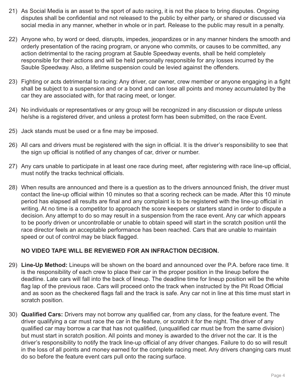- 21) As Social Media is an asset to the sport of auto racing, it is not the place to bring disputes. Ongoing disputes shall be confidential and not released to the public by either party, or shared or discussed via social media in any manner, whether in whole or in part. Release to the public may result in a penalty.
- 22) Anyone who, by word or deed, disrupts, impedes, jeopardizes or in any manner hinders the smooth and orderly presentation of the racing program, or anyone who commits, or causes to be committed, any action detrimental to the racing program at Sauble Speedway events, shall be held completely responsible for their actions and will be held personally responsible for any losses incurred by the Sauble Speedway. Also, a lifetime suspension could be levied against the offenders.
- 23) Fighting or acts detrimental to racing: Any driver, car owner, crew member or anyone engaging in a fight shall be subject to a suspension and or a bond and can lose all points and money accumulated by the car they are associated with, for that racing meet, or longer.
- 24) No individuals or representatives or any group will be recognized in any discussion or dispute unless he/she is a registered driver, and unless a protest form has been submitted, on the race Event.
- 25) Jack stands must be used or a fine may be imposed.
- 26) All cars and drivers must be registered with the sign in official. It is the driver's responsibility to see that the sign up official is notified of any changes of car, driver or number.
- 27) Any cars unable to participate in at least one race during meet, after registering with race line-up official, must notify the tracks technical officials.
- 28) When results are announced and there is a question as to the drivers announced finish, the driver must contact the line-up official within 10 minutes so that a scoring recheck can be made. After this 10 minute period has elapsed all results are final and any complaint is to be registered with the line-up official in writing. At no time is a competitor to approach the score keepers or starters stand in order to dispute a decision. Any attempt to do so may result in a suspension from the race event. Any car which appears to be poorly driven or uncontrollable or unable to obtain speed will start in the scratch position until the race director feels an acceptable performance has been reached. Cars that are unable to maintain speed or out of control may be black flagged.

#### **NO VIDEO TAPE WILL BE REVIEWED FOR AN INFRACTION DECISION.**

- 29) **Line-Up Method:** Lineups will be shown on the board and announced over the P.A. before race time. It is the responsibility of each crew to place their car in the proper position in the lineup before the deadline. Late cars will fall into the back of lineup. The deadline time for lineup position will be the white flag lap of the previous race. Cars will proceed onto the track when instructed by the Pit Road Official and as soon as the checkered flags fall and the track is safe. Any car not in line at this time must start in scratch position.
- 30) **Qualified Cars:** Drivers may not borrow any qualified car, from any class, for the feature event. The driver qualifying a car must race the car in the feature, or scratch it for the night. The driver of any qualified car may borrow a car that has not qualified, (unqualified car must be from the same division) but must start in scratch position. All points and money is awarded to the driver not the car. It is the driver's responsibility to notify the track line-up official of any driver changes. Failure to do so will result in the loss of all points and money earned for the complete racing meet. Any drivers changing cars must do so before the feature event cars pull onto the racing surface.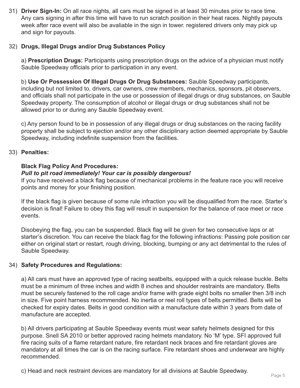31) **Driver Sign-In:** On all race nights, all cars must be signed in at least 30 minutes prior to race time. Any cars signing in after this time will have to run scratch position in their heat races. Nightly payouts week after race event will also be avaliable in the sign in tower. registered drivers only may pick up and sign for payouts.

#### 32) **Drugs, Illegal Drugs and/or Drug Substances Policy**

a) **Prescription Drugs:** Participants using prescription drugs on the advice of a physician must notify Sauble Speedway officials prior to participation in any event.

b) **Use Or Possession Of Illegal Drugs Or Drug Substances:** Sauble Speedway participants, including but not limited to, drivers, car owners, crew members, mechanics, sponsors, pit observers, and officials shall not participate in the use or possession of illegal drugs or drug substances, on Sauble Speedway property. The consumption of alcohol or illegal drugs or drug substances shall not be allowed prior to or during any Sauble Speedway event.

c) Any person found to be in possession of any illegal drugs or drug substances on the racing facility property shall be subject to ejection and/or any other disciplinary action deemed appropriate by Sauble Speedway, including indefinite suspension from the facilities.

#### 33) **Penalties:**

#### **Black Flag Policy And Procedures:**

#### *Pull to pit road immediately! Your car is possibly dangerous!*

If you have received a black flag because of mechanical problems in the feature race you will receive points and money for your finishing position.

If the black flag is given because of some rule infraction you will be disqualified from the race. Starter's decision is final! Failure to obey this flag will result in suspension for the balance of race meet or race events.

Disobeying the flag, you can be suspended. Black flag will be given for two consecutive laps or at starter's discretion. You can receive the black flag for the following infractions: Passing pole position car either on original start or restart, rough driving, blocking, bumping or any act detrimental to the rules of Sauble Speedway.

#### 34) **Safety Procedures and Regulations:**

a) All cars must have an approved type of racing seatbelts, equipped with a quick release buckle. Belts must be a minimum of three inches and width 8 inches and shoulder restraints are mandatory. Belts must be securely fastened to the roll cage and/or frame with grade eight bolts no smaller then 3/8 inch in size. Five point harness recommended. No inertia or reel roll types of belts permitted. Belts will be checked for expiry dates. Belts in good condition with a manufacture date within 3 years from date of manufacture are accepted.

b) All drivers participating at Sauble Speedway events must wear safety helmets designed for this purpose. Snell SA 2010 or better approved racing helmets mandatory. No 'M' type. SFI approved full fire racing suits of a flame retardant nature, fire retardant neck braces and fire retardant gloves are mandatory at all times the car is on the racing surface. Fire retardant shoes and underwear are highly recommended.

c) Head and neck restraint devices are mandatory for all divisions at Sauble Speedway.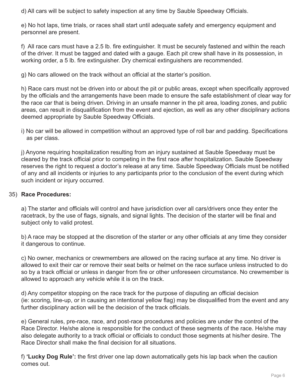d) All cars will be subject to safety inspection at any time by Sauble Speedway Officials.

e) No hot laps, time trials, or races shall start until adequate safety and emergency equipment and personnel are present.

f) All race cars must have a 2.5 lb. fire extinguisher. It must be securely fastened and within the reach of the driver. It must be tagged and dated with a gauge. Each pit crew shall have in its possession, in working order, a 5 lb. fire extinguisher. Dry chemical extinguishers are recommended.

g) No cars allowed on the track without an official at the starter's position.

h) Race cars must not be driven into or about the pit or public areas, except when specifically approved by the officials and the arrangements have been made to ensure the safe establishment of clear way for the race car that is being driven. Driving in an unsafe manner in the pit area, loading zones, and public areas, can result in disqualification from the event and ejection, as well as any other disciplinary actions deemed appropriate by Sauble Speedway Officials.

i) No car will be allowed in competition without an approved type of roll bar and padding. Specifications as per class.

j) Anyone requiring hospitalization resulting from an injury sustained at Sauble Speedway must be cleared by the track official prior to competing in the first race after hospitalization. Sauble Speedway reserves the right to request a doctor's release at any time. Sauble Speedway Officials must be notified of any and all incidents or injuries to any participants prior to the conclusion of the event during which such incident or injury occurred.

#### 35) **Race Procedures:**

a) The starter and officials will control and have jurisdiction over all cars/drivers once they enter the racetrack, by the use of flags, signals, and signal lights. The decision of the starter will be final and subject only to valid protest.

b) A race may be stopped at the discretion of the starter or any other officials at any time they consider it dangerous to continue.

c) No owner, mechanics or crewmembers are allowed on the racing surface at any time. No driver is allowed to exit their car or remove their seat belts or helmet on the race surface unless instructed to do so by a track official or unless in danger from fire or other unforeseen circumstance. No crewmember is allowed to approach any vehicle while it is on the track.

d) Any competitor stopping on the race track for the purpose of disputing an official decision (ie: scoring, line-up, or in causing an intentional yellow flag) may be disqualified from the event and any further disciplinary action will be the decision of the track officials.

e) General rules, pre-race, race, and post-race procedures and policies are under the control of the Race Director. He/she alone is responsible for the conduct of these segments of the race. He/she may also delegate authority to a track official or officials to conduct those segments at his/her desire. The Race Director shall make the final decision for all situations.

f) **'Lucky Dog Rule':** the first driver one lap down automatically gets his lap back when the caution comes out.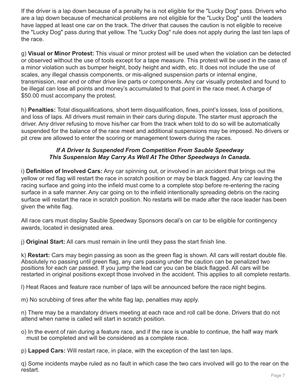If the driver is a lap down because of a penalty he is not eligible for the "Lucky Dog" pass. Drivers who are a lap down because of mechanical problems are not eligible for the "Lucky Dog" until the leaders have lapped at least one car on the track. The driver that causes the caution is not eligible to receive the "Lucky Dog" pass during that yellow. The "Lucky Dog" rule does not apply during the last ten laps of the race.

g) **Visual or Minor Protest:** This visual or minor protest will be used when the violation can be detected or observed without the use of tools except for a tape measure. This protest will be used in the case of a minor violation such as bumper height, body height and width, etc. It does not include the use of scales, any illegal chassis components, or mis-aligned suspension parts or internal engine, transmission, rear end or other drive line parts or components. Any car visually protested and found to be illegal can lose all points and money's accumulated to that point in the race meet. A charge of \$50.00 must accompany the protest.

h) **Penalties:** Total disqualifications, short term disqualification, fines, point's losses, loss of positions, and loss of laps. All drivers must remain in their cars during dispute. The starter must approach the driver. Any driver refusing to move his/her car from the track when told to do so will be automatically suspended for the balance of the race meet and additional suspensions may be imposed. No drivers or pit crew are allowed to enter the scoring or management towers during the races.

#### *If A Driver Is Suspended From Competition From Sauble Speedway This Suspension May Carry As Well At The Other Speedways In Canada.*

i) **Definition of Involved Cars:** Any car spinning out, or involved in an accident that brings out the yellow or red flag will restart the race in scratch position or may be black flagged. Any car leaving the racing surface and going into the infield must come to a complete stop before re-entering the racing surface in a safe manner. Any car going on to the infield intentionally spreading debris on the racing surface will restart the race in scratch position. No restarts will be made after the race leader has been given the white flag.

All race cars must display Sauble Speedway Sponsors decal's on car to be eligible for contingency awards, located in designated area.

j) **Original Start:** All cars must remain in line until they pass the start finish line.

k) **Restart:** Cars may begin passing as soon as the green flag is shown. All cars will restart double file. Absolutely no passing until green flag, any cars passing under the caution can be penalized two positions for each car passed. If you jump the lead car you can be black flagged. All cars will be restarted in original positions except those involved in the accident. This applies to all complete restarts.

l) Heat Races and feature race number of laps will be announced before the race night begins.

m) No scrubbing of tires after the white flag lap, penalties may apply.

n) There may be a mandatory drivers meeting at each race and roll call be done. Drivers that do not attend when name is called will start in scratch position.

o) In the event of rain during a feature race, and if the race is unable to continue, the half way mark must be completed and will be considered as a complete race.

p) **Lapped Cars:** Will restart race, in place, with the exception of the last ten laps.

q) Some incidents maybe ruled as no fault in which case the two cars involved will go to the rear on the restart.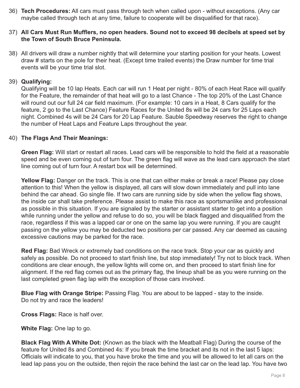36) **Tech Procedures:** All cars must pass through tech when called upon - without exceptions. (Any car maybe called through tech at any time, failure to cooperate will be disqualified for that race).

#### 37) **All Cars Must Run Mufflers, no open headers. Sound not to exceed 98 decibels at speed set by the Town of South Bruce Peninsula.**

38) All drivers will draw a number nightly that will determine your starting position for your heats. Lowest draw # starts on the pole for their heat. (Except time trailed events) the Draw number for time trial events will be your time trial slot.

#### 39) **Qualifying:**

Qualifying will be 10 lap Heats. Each car will run 1 Heat per night - 80% of each Heat Race will qualify for the Feature, the remainder of that heat will go to a last Chance - The top 20% of the Last Chance will round out our full 24 car field maximum. (For example: 10 cars in a Heat, 8 Cars qualify for the feature, 2 go to the Last Chance) Feature Races for the United 8s will be 24 cars for 25 Laps each night. Combined 4s will be 24 Cars for 20 Lap Feature. Sauble Speedway reserves the right to change the number of Heat Laps and Feature Laps throughout the year.

#### 40) **The Flags And Their Meanings:**

**Green Flag:** Will start or restart all races. Lead cars will be responsible to hold the field at a reasonable speed and be even coming out of turn four. The green flag will wave as the lead cars approach the start line coming out of turn four. A restart box will be determined.

**Yellow Flag:** Danger on the track. This is one that can either make or break a race! Please pay close attention to this! When the yellow is displayed, all cars will slow down immediately and pull into lane behind the car ahead. Go single file. If two cars are running side by side when the yellow flag shows, the inside car shall take preference. Please assist to make this race as sportsmanlike and professional as possible in this situation. If you are signaled by the starter or assistant starter to get into a position while running under the yellow and refuse to do so, you will be black flagged and disqualified from the race, regardless if this was a lapped car or one on the same lap you were running. If you are caught passing on the yellow you may be deducted two positions per car passed. Any car deemed as causing excessive cautions may be parked for the race.

**Red Flag:** Bad Wreck or extremely bad conditions on the race track. Stop your car as quickly and safely as possible. Do not proceed to start finish line, but stop immediately! Try not to block track. When conditions are clear enough, the yellow lights will come on, and then proceed to start finish line for alignment. If the red flag comes out as the primary flag, the lineup shall be as you were running on the last completed green flag lap with the exception of those cars involved.

**Blue Flag with Orange Stripe:** Passing Flag. You are about to be lapped - stay to the inside. Do not try and race the leaders!

**Cross Flags:** Race is half over.

**White Flag:** One lap to go.

**Black Flag With A White Dot:** (Known as the black with the Meatball Flag) During the course of the feature for United 8s and Combined 4s: If you break the time bracket and its not in the last 5 laps: Officials will indicate to you, that you have broke the time and you will be allowed to let all cars on the lead lap pass you on the outside, then rejoin the race behind the last car on the lead lap. You have two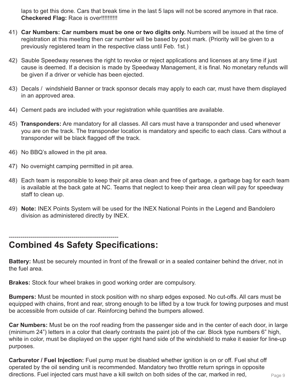laps to get this done. Cars that break time in the last 5 laps will not be scored anymore in that race. **Checkered Flag:** Race is over!!!!!!!!!!

- 41) **Car Numbers: Car numbers must be one or two digits only.** Numbers will be issued at the time of registration at this meeting then car number will be based by post mark. (Priority will be given to a previously registered team in the respective class until Feb. 1st.)
- 42) Sauble Speedway reserves the right to revoke or reject applications and licenses at any time if just cause is deemed. If a decision is made by Speedway Management, it is final. No monetary refunds will be given if a driver or vehicle has been ejected.
- 43) Decals / windshield Banner or track sponsor decals may apply to each car, must have them displayed in an approved area.
- 44) Cement pads are included with your registration while quantities are available.
- 45) **Transponders:** Are mandatory for all classes. All cars must have a transponder and used whenever you are on the track. The transponder location is mandatory and specific to each class. Cars without a transponder will be black flagged off the track.
- 46) No BBQ's allowed in the pit area.
- 47) No overnight camping permitted in pit area.
- 48) Each team is responsible to keep their pit area clean and free of garbage, a garbage bag for each team is available at the back gate at NC. Teams that neglect to keep their area clean will pay for speedway staff to clean up.
- 49) **Note:** INEX Points System will be used for the INEX National Points in the Legend and Bandolero division as administered directly by INEX.

#### -------------------------------------------------------- **Combined 4s Safety Specifications:**

**Battery:** Must be securely mounted in front of the firewall or in a sealed container behind the driver, not in the fuel area.

**Brakes:** Stock four wheel brakes in good working order are compulsory.

**Bumpers:** Must be mounted in stock position with no sharp edges exposed. No cut-offs. All cars must be equipped with chains, front and rear, strong enough to be lifted by a tow truck for towing purposes and must be accessible from outside of car. Reinforcing behind the bumpers allowed.

**Car Numbers:** Must be on the roof reading from the passenger side and in the center of each door, in large (minimum 24") letters in a color that clearly contrasts the paint job of the car. Block type numbers 6" high, white in color, must be displayed on the upper right hand side of the windshield to make it easier for line-up purposes.

**Carburetor / Fuel Injection:** Fuel pump must be disabled whether ignition is on or off. Fuel shut off operated by the oil sending unit is recommended. Mandatory two throttle return springs in opposite directions. Fuel injected cars must have a kill switch on both sides of the car, marked in red,  $P_{\text{age }9}$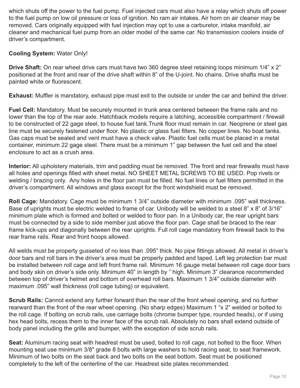which shuts off the power to the fuel pump. Fuel injected cars must also have a relay which shuts off power to the fuel pump on low oil pressure or loss of ignition. No ram air intakes. Air horn on air cleaner may be removed. Cars originally equipped with fuel injection may opt to use a carburetor, intake manifold, air cleaner and mechanical fuel pump from an older model of the same car. No transmission coolers inside of driver's compartment.

#### **Cooling System:** Water Only!

**Drive Shaft:** On rear wheel drive cars must have two 360 degree steel retaining loops minimum 1/4" x 2" positioned at the front and rear of the drive shaft within 8" of the U-joint. No chains. Drive shafts must be painted white or fluorescent.

**Exhaust:** Muffler is mandatory, exhaust pipe must exit to the outside or under the car and behind the driver.

**Fuel Cell:** Mandatory. Must be securely mounted in trunk area centered between the frame rails and no lower than the top of the rear axle. Hatchback models require a latching, accessible compartment / firewall to be constructed of 22 gage steel, to house fuel tank.Trunk floor must remain in car. Neoprene or steel gas line must be securely fastened under floor. No plastic or glass fuel filters. No copper lines. No boat tanks. Gas caps must be sealed and vent must have a check valve. Plastic fuel cells must be placed in a metal container, minimum 22 gage steel. There must be a minimum 1" gap between the fuel cell and the steel enclosure to act as a crush area.

**Interior:** All upholstery materials, trim and padding must be removed. The front and rear firewalls must have all holes and openings filled with sheet metal. NO SHEET METAL SCREWS TO BE USED. Pop rivets or welding / brazing only. Any holes in the floor pan must be filled. No fuel lines or fuel filters permitted in the driver's compartment. All windows and glass except for the front windshield must be removed.

**Roll Cage:** Mandatory. Cage must be minimum 1 3/4" outside diameter with minimum .095" wall thickness. Base of uprights must be electric welded to frame of car. Unibody will be welded to a steel 8" x 8" of 3/16" minimum plate which is formed and bolted or welded to floor pan. In a Unibody car, the rear upright bars must be connected by a side to side member just above the floor pan. Cage shall be braced to the rear frame kick-ups and diagonally between the rear uprights. Full roll cage mandatory from firewall back to the rear frame rails. Rear and front hoops allowed.

All welds must be property gusseted of no less than .095" thick. No pipe fittings allowed. All metal in driver's door bars and roll bars in the driver's area must be properly padded and taped. Left leg protection bar must be installed between roll cage and left front frame rail. Minimum 16 gauge metal between roll cage door bars and body skin on driver's side only. Minimum 40" in length by " high. Minimum 3" clearance recommended between top of driver's helmet and bottom of overhead roll bars. Maximum 1 3/4" outside diameter with maximum .095" wall thickness (roll cage tubing) or equivalent.

**Scrub Rails:** Cannot extend any further forward than the rear of the front wheel opening, and no further rearward than the front of the rear wheel opening. (No sharp edges) Maximum 1 "x 2" welded or bolted to the roll cage. If bolting on scrub rails, use carriage bolts (chrome bumper type, rounded heads), or if using hex head bolts, recess them to the inner face of the scrub rail. Absolutely no bars shall extend outside of body panel including the grille and bumper, with the exception of side scrub rails.

**Seat:** Aluminum racing seat with headrest must be used, bolted to roll cage, not bolted to the floor. When mounting seat use minimum 3/8" grade 8 bolts with large washers to hold racing seat, to seat framework. Minimum of two bolts on the seat back and two bolts on the seat bottom. Seat must be positioned completely to the left of the centerline of the car. Headrest side plates recommended.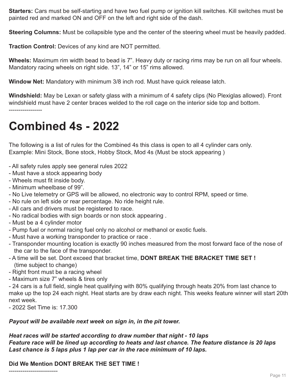**Starters:** Cars must be self-starting and have two fuel pump or ignition kill switches. Kill switches must be painted red and marked ON and OFF on the left and right side of the dash.

**Steering Columns:** Must be collapsible type and the center of the steering wheel must be heavily padded.

**Traction Control:** Devices of any kind are NOT permitted.

**Wheels:** Maximum rim width bead to bead is 7". Heavy duty or racing rims may be run on all four wheels. Mandatory racing wheels on right side. 13", 14" or 15" rims allowed.

**Window Net:** Mandatory with minimum 3/8 inch rod. Must have quick release latch.

**Windshield:** May be Lexan or safety glass with a minimum of 4 safety clips (No Plexiglas allowed). Front windshield must have 2 center braces welded to the roll cage on the interior side top and bottom. -----------------

# **Combined 4s - 2022**

The following is a list of rules for the Combined 4s this class is open to all 4 cylinder cars only. Example: Mini Stock, Bone stock, Hobby Stock, Mod 4s (Must be stock appearing )

- All safety rules apply see general rules 2022
- Must have a stock appearing body
- Wheels must fit inside body.
- Minimum wheelbase of 99".
- No Live telemetry or GPS will be allowed, no electronic way to control RPM, speed or time.
- No rule on left side or rear percentage. No ride height rule.
- All cars and drivers must be registered to race.
- No radical bodies with sign boards or non stock appearing .
- Must be a 4 cylinder motor
- Pump fuel or normal racing fuel only no alcohol or methanol or exotic fuels.
- Must have a working transponder to practice or race .
- Transponder mounting location is exactly 90 inches measured from the most forward face of the nose of the car to the face of the transponder.
- A time will be set. Dont exceed that bracket time, **DONT BREAK THE BRACKET TIME SET !** (time subject to change)
- Right front must be a racing wheel
- Maximum size 7" wheels & tires only

- 24 cars is a full field, single heat qualifying with 80% qualifying through heats 20% from last chance to make up the top 24 each night. Heat starts are by draw each night. This weeks feature winner will start 20th next week.

- 2022 Set Time is: 17.300

#### *Payout will be available next week on sign in, in the pit tower.*

#### *Heat races will be started according to draw number that night - 10 laps Feature race will be lined up according to heats and last chance. The feature distance is 20 laps Last chance is 5 laps plus 1 lap per car in the race minimum of 10 laps.*

**Did We Mention DONT BREAK THE SET TIME !**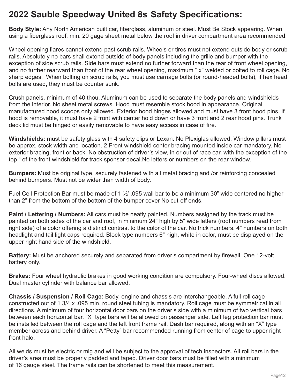# **2022 Sauble Speedway United 8s Safety Specifications:**

**Body Style:** Any North American built car, fiberglass, aluminum or steel. Must Be Stock appearing. When using a fiberglass roof, min. 20 gage sheet metal below the roof in driver compartment area recommended.

Wheel opening flares cannot extend past scrub rails. Wheels or tires must not extend outside body or scrub rails. Absolutely no bars shall extend outside of body panels including the grille and bumper with the exception of side scrub rails. Side bars must extend no further forward than the rear of front wheel opening, and no further rearward than front of the rear wheel opening, maximum " x" welded or bolted to roll cage. No sharp edges. When bolting on scrub rails, you must use carriage bolts (or round-headed bolts), if hex head bolts are used, they must be counter sunk.

Crush panels, minimum of 40 thou. Aluminum can be used to separate the body panels and windshields from the interior. No sheet metal screws. Hood must resemble stock hood in appearance. Original manufactured hood scoops only allowed. Exterior hood hinges allowed and must have 3 front hood pins. If hood is removable, it must have 2 front with center hold down or have 3 front and 2 rear hood pins. Trunk deck lid must be hinged or easily removable to have easy access in case of fire.

**Windshields:** must be safety glass with 4 safety clips or Lexan. No Plexiglas allowed. Window pillars must be approx. stock width and location. 2 Front windshield center bracing mounted inside car mandatory. No exterior bracing, front or back. No obstruction of driver's view, in or out of race car, with the exception of the top " of the front windshield for track sponsor decal.No letters or numbers on the rear window.

**Bumpers:** Must be original type, securely fastened with all metal bracing and /or reinforcing concealed behind bumpers. Must not be wider than width of body.

Fuel Cell Protection Bar must be made of 1  $\frac{1}{2}$  .095 wall bar to be a minimum 30" wide centered no higher than 2" from the bottom of the bottom of the bumper cover No cut-off ends.

**Paint / Lettering / Numbers:** All cars must be neatly painted. Numbers assigned by the track must be painted on both sides of the car and roof, in minimum 24" high by 5" wide letters (roof numbers read from right side) of a color offering a distinct contrast to the color of the car. No trick numbers. 4" numbers on both headlight and tail light caps required. Block type numbers 6" high, white in color, must be displayed on the upper right hand side of the windshield.

**Battery:** Must be anchored securely and separated from driver's compartment by firewall. One 12-volt battery only.

**Brakes:** Four wheel hydraulic brakes in good working condition are compulsory. Four-wheel discs allowed. Dual master cylinder with balance bar allowed.

**Chassis / Suspension / Roll Cage:** Body, engine and chassis are interchangeable. A full roll cage constructed out of 1 3/4 x .095 min. round steel tubing is mandatory. Roll cage must be symmetrical in all directions. A minimum of four horizontal door bars on the driver's side with a minimum of two vertical bars between each horizontal bar. "X" type bars will be allowed on passenger side. Left leg protection bar must be installed between the roll cage and the left front frame rail. Dash bar required, along with an "X" type member across and behind driver. A "Petty" bar recommended running from center of cage to upper right front halo.

All welds must be electric or mig and will be subject to the approval of tech inspectors. All roll bars in the driver's area must be properly padded and taped. Driver door bars must be filled with a minimum of 16 gauge steel. The frame rails can be shortened to meet this measurement.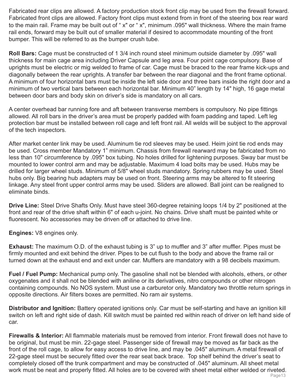Fabricated rear clips are allowed. A factory production stock front clip may be used from the firewall forward. Fabricated front clips are allowed. Factory front clips must extend from in front of the steering box rear ward to the main rail. Frame may be built out of " x" or " x", minimum .095" wall thickness. Where the main frame rail ends, forward may be built out of smaller material if desired to accommodate mounting of the front bumper. This will be referred to as the bumper crush tube.

**Roll Bars:** Cage must be constructed of 1 3/4 inch round steel minimum outside diameter by .095" wall thickness for main cage area including Driver Capsule and leg area. Four point cage compulsory. Base of uprights must be electric or mig welded to frame of car. Cage must be braced to the rear frame kick-ups and diagonally between the rear uprights. A transfer bar between the rear diagonal and the front frame optional. A minimum of four horizontal bars must be inside the left side door and three bars inside the right door and a minimum of two vertical bars between each horizontal bar. Minimum 40" length by 14" high, 16 gage metal between door bars and body skin on driver's side is mandatory on all cars.

A center overhead bar running fore and aft between transverse members is compulsory. No pipe fittings allowed. All roll bars in the driver's area must be properly padded with foam padding and taped. Left leg protection bar must be installed between roll cage and left front rail. All welds will be subject to the approval of the tech inspectors.

After market center link may be used. Aluminum tie rod sleeves may be used. Heim joint tie rod ends may be used. Cross member Mandatory 1" minimum. Chassis from firewall rearward may be fabricated from no less than 10" circumference by .095" box tubing. No holes drilled for lightening purposes. Sway bar must be mounted to lower control arm and may be adjustable. Maximum 4 load bolts may be used. Hubs may be drilled for larger wheel studs. Minimum of 5/8" wheel studs mandatory. Spring rubbers may be used. Steel hubs only. Big bearing hub adapters may be used on front. Steering arms may be altered to fit steering linkage. Any steel front upper control arms may be used. Sliders are allowed. Ball joint can be realigned to eliminate binds.

**Drive Line:** Steel Drive Shafts Only. Must have steel 360-degree retaining loops 1/4 by 2" positioned at the front and rear of the drive shaft within 6" of each u-joint. No chains. Drive shaft must be painted white or fluorescent. No accessories may be driven off or attached to drive line.

**Engines:** V8 engines only.

**Exhaust:** The maximum O.D. of the exhaust tubing is 3" up to muffler and 3" after muffler. Pipes must be firmly mounted and exit behind the driver. Pipes to be cut flush to the body and above the frame rail or turned down at the exhaust end and exit under car. Mufflers are mandatory with a 98 decibels maximum.

**Fuel / Fuel Pump:** Mechanical pump only. The gasoline shall not be blended with alcohols, ethers, or other oxygenates and it shall not be blended with aniline or its derivatives, nitro compounds or other nitrogen containing compounds. No NOS system. Must use a carburetor only. Mandatory two throttle return springs in opposite directions. Air filters boxes are permitted. No ram air systems.

**Distributor and Ignition:** Battery operated ignitions only. Car must be self-starting and have an ignition kill switch on left and right side of dash. Kill switch must be painted red within reach of driver on left hand side of car.

**Firewalls & Interior:** All flammable materials must be removed from interior. Front firewall does not have to be original, but must be min. 22-gage steel. Passenger side of firewall may be moved as far back as the front of the roll cage, to allow for easy access to drive line, and may be .045" aluminum. A metal firewall of 22-gage steel must be securely fitted over the rear seat back brace. Top shelf behind the driver's seat to completely closed off the trunk compartment and may be constructed of .045" aluminum. All sheet metal work must be neat and properly fitted. All holes are to be covered with sheet metal either welded or riveted.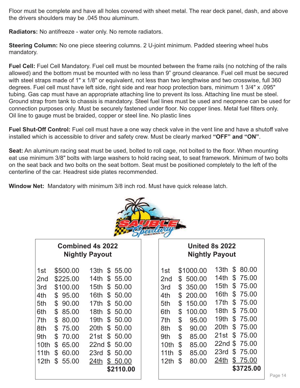Floor must be complete and have all holes covered with sheet metal. The rear deck panel, dash, and above the drivers shoulders may be .045 thou aluminum.

**Radiators:** No antifreeze - water only. No remote radiators.

**Steering Column:** No one piece steering columns. 2 U-joint minimum. Padded steering wheel hubs mandatory.

**Fuel Cell:** Fuel Cell Mandatory. Fuel cell must be mounted between the frame rails (no notching of the rails allowed) and the bottom must be mounted with no less than 9" ground clearance. Fuel cell must be secured with steel straps made of 1" x 1/8" or equivalent, not less than two lengthwise and two crosswise, full 360 degrees. Fuel cell must have left side, right side and rear hoop protection bars, minimum 1 3/4" x .095" tubing. Gas cap must have an appropriate attaching line to prevent its loss. Attaching line must be steel. Ground strap from tank to chassis is mandatory. Steel fuel lines must be used and neoprene can be used for connection purposes only. Must be securely fastened under floor. No copper lines. Metal fuel filters only. Oil line to gauge must be braided, copper or steel line. No plastic lines

**Fuel Shut-Off Control:** Fuel cell must have a one way check valve in the vent line and have a shutoff valve installed which is accessible to driver and safety crew. Must be clearly marked **"OFF" and "ON"**.

**Seat:** An aluminum racing seat must be used, bolted to roll cage, not bolted to the floor. When mounting eat use minimum 3/8" bolts with large washers to hold racing seat, to seat framework. Minimum of two bolts on the seat back and two bolts on the seat bottom. Seat must be positioned completely to the left of the centerline of the car. Headrest side plates recommended.

**Window Net:** Mandatory with minimum 3/8 inch rod. Must have quick release latch.



## **Combined 4s 2022 Nightly Payout**

| 1st              | \$500.00    | 13th             | \$55.00       |
|------------------|-------------|------------------|---------------|
|                  |             |                  |               |
| 2 <sub>nd</sub>  | \$225.00    | 14th             | \$<br>55.00   |
| 3rd              | \$100.00    | 15th             | \$<br>50.00   |
| 4th              | \$<br>95.00 | 16th             | \$<br>50.00   |
| 5th              | \$<br>90.00 | 17th             | \$50.00       |
| 6th              | \$<br>85.00 | 18th             | \$<br>50.00   |
| 7th              | \$<br>80.00 | 19 <sub>th</sub> | \$50.00       |
| 8th              | \$<br>75.00 | 20th             | \$<br>50.00   |
| 9th              | \$<br>70.00 | 21st             | \$50.00       |
| 10 <sub>th</sub> | \$<br>65.00 |                  | 22nd \$ 50,00 |
| 11th             | \$<br>60.00 | 23rd             | \$50.00       |
| 12th             | \$<br>55.00 | 24th             | \$50.00       |
|                  |             |                  | \$2110.00     |
|                  |             |                  |               |

### **United 8s 2022 Nightly Payout**

| 1st             | \$1000.00    | 13th             | \$<br>80.00 |
|-----------------|--------------|------------------|-------------|
| 2 <sub>nd</sub> | \$<br>500.00 | 14th             | \$<br>75.00 |
| 3rd             | \$<br>350.00 | 15 <sub>th</sub> | \$<br>75.00 |
| 4th             | \$<br>200.00 | 16th             | \$<br>75.00 |
| 5th             | \$<br>150.00 | 17th             | \$<br>75.00 |
| 6th             | \$<br>100.00 | 18th             | \$<br>75.00 |
| 7th             | \$<br>95.00  | 19th             | \$<br>75.00 |
| 8th             | \$<br>90.00  | 20th             | \$<br>75.00 |
| 9th             | \$<br>85.00  | 21st             | \$<br>75.00 |
| 10th            | \$<br>85.00  | 22nd             | \$<br>75.00 |
| 11th            | \$<br>85.00  | 23rd             | \$<br>75.00 |
| 12th            | \$<br>80.00  | 24th             | \$<br>75.00 |
|                 |              |                  | \$3725.00   |
|                 |              |                  |             |